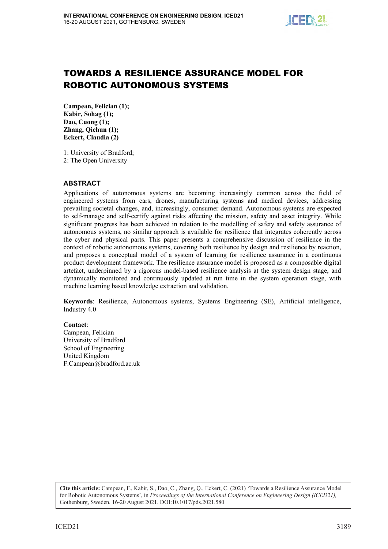

# TOWARDS A RESILIENCE ASSURANCE MODEL FOR ROBOTIC AUTONOMOUS SYSTEMS

Campean, Felician (1); Kabir, Sohag (1); Dao, Cuong (1); Zhang, Qichun (1); Eckert, Claudia (2)

1: University of Bradford; 2: The Open University

### **ABSTRACT**

Applications of autonomous systems are becoming increasingly common across the field of engineered systems from cars, drones, manufacturing systems and medical devices, addressing prevailing societal changes, and, increasingly, consumer demand. Autonomous systems are expected to self-manage and self-certify against risks affecting the mission, safety and asset integrity. While significant progress has been achieved in relation to the modelling of safety and safety assurance of autonomous systems, no similar approach is available for resilience that integrates coherently across the cyber and physical parts. This paper presents a comprehensive discussion of resilience in the context of robotic autonomous systems, covering both resilience by design and resilience by reaction, and proposes a conceptual model of a system of learning for resilience assurance in a continuous product development framework. The resilience assurance model is proposed as a composable digital artefact, underpinned by a rigorous model-based resilience analysis at the system design stage, and dynamically monitored and continuously updated at run time in the system operation stage, with machine learning based knowledge extraction and validation.

Keywords: Resilience, Autonomous systems, Systems Engineering (SE), Artificial intelligence, Industry 4.0

#### Contact:

Campean, Felician University of Bradford School of Engineering United Kingdom F.Campean@bradford.ac.uk

**Cite this article:** Campean, F., Kabir, S., Dao, C., Zhang, Q., Eckert, C. (2021) 'Towards a Resilience Assurance Model for Robotic Autonomous Systems', in *Proceedings of the International Conference on Engineering Design (ICED21)*, Gothenburg, Sweden, 16-20 August 2021. DOI:10.1017/pds.2021.580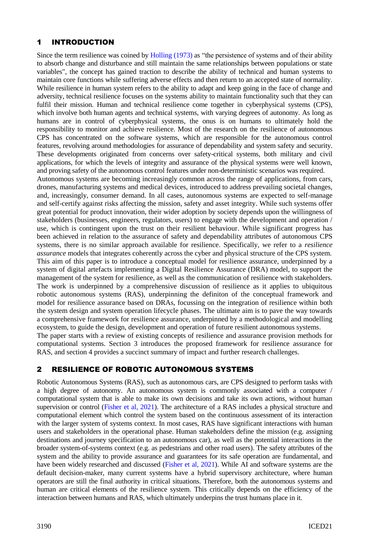## 1 INTRODUCTION

Since the term resilience was coined by [Holling \(1973\)](#page-9-0) as "the persistence of systems and of their ability to absorb change and disturbance and still maintain the same relationships between populations or state variables", the concept has gained traction to describe the ability of technical and human systems to maintain core functions while suffering adverse effects and then return to an accepted state of normality. While resilience in human system refers to the ability to adapt and keep going in the face of change and adversity, technical resilience focuses on the systems ability to maintain functionality such that they can fulfil their mission. Human and technical resilience come together in cyberphysical systems (CPS), which involve both human agents and technical systems, with varying degrees of autonomy. As long as humans are in control of cyberphysical systems, the onus is on humans to ultimately hold the responsibility to monitor and achieve resilience. Most of the research on the resilience of autonomous CPS has concentrated on the software systems, which are responsible for the autonomous control features, revolving around methodologies for assurance of dependability and system safety and security. These developments originated from concerns over safety-critical systems, both military and civil applications, for which the levels of integrity and assurance of the physical systems were well known, and proving safety of the autonomous control features under non-deterministic scenarios was required. Autonomous systems are becoming increasingly common across the range of applications, from cars, drones, manufacturing systems and medical devices, introduced to address prevailing societal changes, and, increasingly, consumer demand. In all cases, autonomous systems are expected to self-manage and self-certify against risks affecting the mission, safety and asset integrity. While such systems offer great potential for product innovation, their wider adoption by society depends upon the willingness of stakeholders (businesses, engineers, regulators, users) to engage with the development and operation / use, which is contingent upon the trust on their resilient behaviour. While significant progress has been achieved in relation to the assurance of safety and dependability attributes of autonomous CPS systems, there is no similar approach available for resilience. Specifically, we refer to a *resilience* 

*assurance* models that integrates coherently across the cyber and physical structure of the CPS system. This aim of this paper is to introduce a conceptual model for resilience assurance, underpinned by a system of digital artefacts implementing a Digital Resilience Assurance (DRA) model, to support the management of the system for resilience, as well as the communication of resilience with stakeholders. The work is underpinned by a comprehensive discussion of resilience as it applies to ubiquitous robotic autonomous systems (RAS), underpinning the definiton of the conceptual framework and model for resilience assurance based on DRAs, focussing on the integration of resilience within both the system design and system operation lifecycle phases. The ultimate aim is to pave the way towards a comprehensive framework for resilience assurance, underpinned by a methodological and modelling ecosystem, to guide the design, development and operation of future resilient autonomous systems. The paper starts with a review of existing concepts of resilience and assurance provision methods for

computational systems. Section 3 introduces the proposed framework for resilience assurance for RAS, and section 4 provides a succinct summary of impact and further research challenges.

### 2 RESILIENCE OF ROBOTIC AUTONOMOUS SYSTEMS

Robotic Autonomous Systems (RAS), such as autonomous cars, are CPS designed to perform tasks with a high degree of autonomy. An autonomous system is commonly associated with a computer / computational system that is able to make its own decisions and take its own actions, without human supervision or control [\(Fisher et al, 2021\)](#page-9-1). The architecture of a RAS includes a physical structure and computational element which control the system based on the continuous assessment of its interaction with the larger system of systems context. In most cases, RAS have significant interactions with human users and stakeholders in the operational phase. Human stakeholders define the mission (e.g. assigning destinations and journey specification to an autonomous car), as well as the potential interactions in the broader system-of-systems context (e.g. as pedestrians and other road users). The safety attributes of the system and the ability to provide assurance and guarantees for its safe operation are fundamental, and have been widely researched and discussed [\(Fisher et al, 2021\)](#page-9-1). While AI and software systems are the default decision-maker, many current systems have a hybrid supervisory architecture, where human operators are still the final authority in critical situations. Therefore, both the autonomous systems and human are critical elements of the resilience system. This critically depends on the efficiency of the interaction between humans and RAS, which ultimately underpins the trust humans place in it.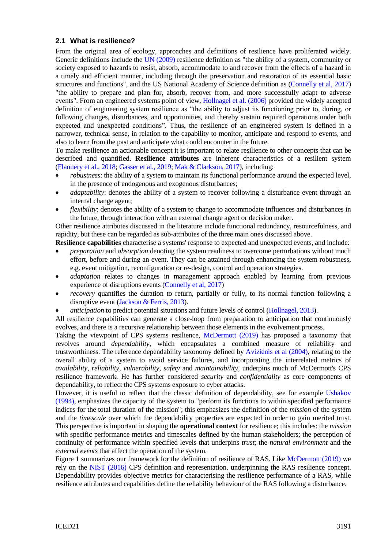#### **2.1 What is resilience?**

From the original area of ecology, approaches and definitions of resilience have proliferated widely. Generic definitions include the UN [\(2009\)](#page-9-2) resilience definition as "the ability of a system, community or society exposed to hazards to resist, absorb, accommodate to and recover from the effects of a hazard in a timely and efficient manner, including through the preservation and restoration of its essential basic structures and functions", and the US National Academy of Science definition as [\(Connelly et al, 2017\)](#page-9-3) "the ability to prepare and plan for, absorb, recover from, and more successfully adapt to adverse events". From an engineered systems point of view, [Hollnagel et al. \(2006\)](#page-9-4) provided the widely accepted definition of engineering system resilience as "the ability to adjust its functioning prior to, during, or following changes, disturbances, and opportunities, and thereby sustain required operations under both expected and unexpected conditions". Thus, the resilience of an engineered system is defined in a narrower, technical sense, in relation to the capability to monitor, anticipate and respond to events, and also to learn from the past and anticipate what could encounter in the future.

To make resilience an actionable concept it is important to relate resilience to other concepts that can be described and quantified. **Resilience attributes** are inherent characteristics of a resilient system [\(Flannery et al., 2018;](#page-9-5) [Gasser et al., 2019;](#page-9-6) [Mak & Clarkson, 2017\)](#page-9-7), including:

- *robustness*: the ability of a system to maintain its functional performance around the expected level, in the presence of endogenous and exogenous disturbances;
- *adaptability*: denotes the ability of a system to recover following a disturbance event through an internal change agent;
- *flexibility*: denotes the ability of a system to change to accommodate influences and disturbances in the future, through interaction with an external change agent or decision maker.

Other resilience attributes discussed in the literature include functional redundancy, resourcefulness, and rapidity, but these can be regarded as sub-attributes of the three main ones discussed above.

**Resilience capabilities** characterise a systems' response to expected and unexpected events, and include:

- *preparation* and *absorption* denoting the system readiness to overcome perturbations without much effort, before and during an event. They can be attained through enhancing the system robustness, e.g. event mitigation, reconfiguration or re-design, control and operation strategies.
- *adaptation* relates to changes in management approach enabled by learning from previous experience of disruptions events [\(Connelly et al,](#page-9-3) 2017)
- *recovery* quantifies the duration to return, partially or fully, to its normal function following a disruptive event [\(Jackson & Ferris, 2013\)](#page-9-8).
- *anticipation* to predict potential situations and future levels of control [\(Hollnagel, 2013\)](#page-9-9).

All resilience capabilities can generate a close-loop from preparation to anticipation that continuously evolves, and there is a recursive relationship between those elements in the evolvement process.

Taking the viewpoint of CPS systems resilience, [McDermott \(2019\)](#page-9-10) has proposed a taxonomy that revolves around *dependability*, which encapsulates a combined measure of reliability and trustworthiness. The reference dependability taxonomy defined by [Avizienis et al \(2004\),](#page-8-0) relating to the overall ability of a system to avoid service failures, and incorporating the interrelated metrics of *availability*, *reliability*, *vulnerability*, *safety* and *maintainability*, underpins much of McDermott's CPS resilience framework. He has further considered *security* and *confidentiality* as core components of dependability, to reflect the CPS systems exposure to cyber attacks.

However, it is useful to reflect that the classic definition of dependability, see for example [Ushakov](#page-9-11)  [\(1994\),](#page-9-11) emphasizes the capacity of the system to "perform its functions to within specified performance indices for the total duration of the mission"; this emphasizes the definition of the *mission* of the system and the *timescale* over which the dependability properties are expected in order to gain merited trust. This perspective is important in shaping the **operational context** for resilience; this includes: the *mission* with specific performance metrics and timescales defined by the human stakeholders; the perception of continuity of performance within specified levels that underpins *trust*; the *natural environment* and the *external events* that affect the operation of the system.

Figure 1 summarizes our framework for the definition of resilience of RAS. Like [McDermott \(2019\)](#page-9-10) we rely on the [NIST \(2016\)](#page-9-12) CPS definition and representation, underpinning the RAS resilience concept. Dependability provides objective metrics for characterising the resilience performance of a RAS, while resilience attributes and capabilities define the reliability behaviour of the RAS following a disturbance.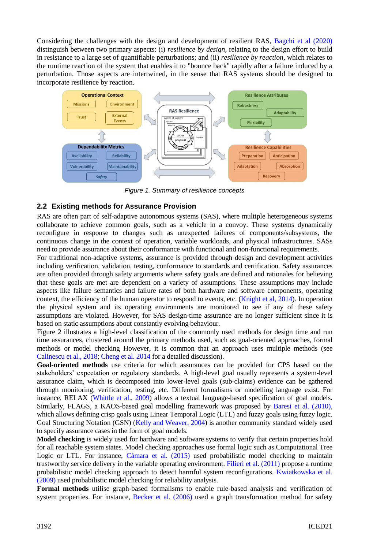Considering the challenges with the design and development of resilient RAS, [Bagchi et al \(2020\)](#page-8-1) distinguish between two primary aspects: (i) *resilience by design*, relating to the design effort to build in resistance to a large set of quantifiable perturbations; and (ii) *resilience by reaction*, which relates to the runtime reaction of the system that enables it to "bounce back" rapidly after a failure induced by a perturbation. Those aspects are intertwined, in the sense that RAS systems should be designed to incorporate resilience by reaction.



*Figure 1. Summary of resilience concepts*

### **2.2 Existing methods for Assurance Provision**

RAS are often part of self-adaptive autonomous systems (SAS), where multiple heterogeneous systems collaborate to achieve common goals, such as a vehicle in a convoy. These systems dynamically reconfigure in response to changes such as unexpected failures of components/subsystems, the continuous change in the context of operation, variable workloads, and physical infrastructures. SASs need to provide assurance about their conformance with functional and non-functional requirements.

For traditional non-adaptive systems, assurance is provided through design and development activities including verification, validation, testing, conformance to standards and certification. Safety assurances are often provided through safety arguments where safety goals are defined and rationales for believing that these goals are met are dependent on a variety of assumptions. These assumptions may include aspects like failure semantics and failure rates of both hardware and software components, operating context, the efficiency of the human operator to respond to events, etc. (Knight [et al, 2014\)](#page-9-13). In operation the physical system and its operating environments are monitored to see if any of these safety assumptions are violated. However, for SAS design-time assurance are no longer sufficient since it is based on static assumptions about constantly evolving behaviour.

Figure 2 illustrates a high-level classification of the commonly used methods for design time and run time assurances, clustered around the primary methods used, such as goal-oriented approaches, formal methods or model checking However, it is common that an approach uses multiple methods (see Calinescu [et al., 2018;](#page-8-2) [Cheng et al. 2014](#page-8-3) for a detailed discussion).

**Goal-oriented methods** use criteria for which assurances can be provided for CPS based on the stakeholders' expectation or regulatory standards. A high-level goal usually represents a system-level assurance claim, which is decomposed into lower-level goals (sub-claims) evidence can be gathered through monitoring, verification, testing, etc. Different formalisms or modelling language exist. For instance, RELAX [\(Whittle et al., 2009\)](#page-9-14) allows a textual language-based specification of goal models. Similarly, FLAGS, a KAOS-based goal modelling framework was proposed by [Baresi et al. \(2010\),](#page-8-4) which allows defining crisp goals using Linear Temporal Logic (LTL) and fuzzy goals using fuzzy logic. Goal Structuring Notation (GSN) [\(Kelly and Weaver, 2004\)](#page-9-15) is another community standard widely used to specify assurance cases in the form of goal models.

**Model checking** is widely used for hardware and software systems to verify that certain properties hold for all reachable system states. Model checking approaches use formal logic such as Computational Tree Logic or LTL. For instance, [Cámara et al. \(2015\)](#page-8-5) used probabilistic model checking to maintain trustworthy service delivery in the variable operating environment. [Filieri et al. \(2011\)](#page-9-16) propose a runtime probabilistic model checking approach to detect harmful system reconfigurations. [Kwiatkowska et al.](#page-9-17)  [\(2009\)](#page-9-17) used probabilistic model checking for reliability analysis.

**Formal methods** utilise graph-based formalisms to enable rule-based analysis and verification of system properties. For instance, [Becker et al. \(2006\)](#page-8-6) used a graph transformation method for safety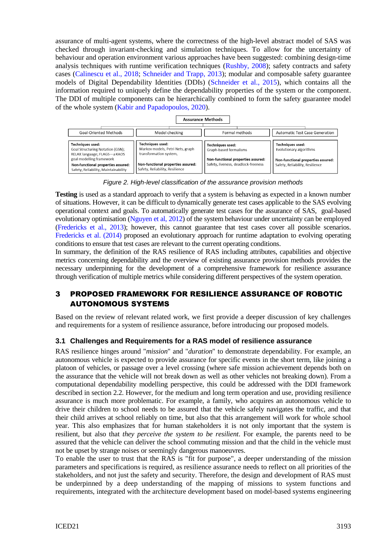assurance of multi-agent systems, where the correctness of the high-level abstract model of SAS was checked through invariant-checking and simulation techniques. To allow for the uncertainty of behaviour and operation environment various approaches have been suggested: combining design-time analysis techniques with runtime verification techniques [\(Rushby, 2008\)](#page-9-18); safety contracts and safety cases [\(Calinescu et al., 2018;](#page-8-2) [Schneider and Trapp, 2013\)](#page-9-19); modular and composable safety guarantee models of Digital Dependability Identities (DDIs) [\(Schneider et al., 2015\)](#page-9-20), which contains all the information required to uniquely define the dependability properties of the system or the component. The DDI of multiple components can be hierarchically combined to form the safety guarantee model of the whole system [\(Kabir and Papadopoulos, 2020\)](#page-9-21).

| <b>Assurance Methods</b>                                                                               |                                                                                |                                                                           |                                                                       |
|--------------------------------------------------------------------------------------------------------|--------------------------------------------------------------------------------|---------------------------------------------------------------------------|-----------------------------------------------------------------------|
| Goal-Oriented Methods                                                                                  | Model checking                                                                 | Formal methods                                                            | <b>Automatic Test Case Generation</b>                                 |
| Techniques used:<br>Goal Structuring Notation (GSN);<br>RELAX language; FLAGS-a KAOS                   | Techniques used:<br>Markov models, Petri Nets, graph<br>transformation system, | Techniques used:<br>Graph-based formalisms                                | Techniques used:<br>Evolutionary algorithms                           |
| goal modelling framework<br>Non-functional properties assured:<br>Safety, Reliability, Maintainability | Non-functional properties assured:<br>Safety, Reliability, Resilience          | Non-functional properties assured:<br>Safety, liveness, deadlock-freeness | Non-functional properties assured:<br>Safety, Reliability, Resilience |

*Figure 2. High-level classification of the assurance provision methods*

**Testing** is used as a standard approach to verify that a system is behaving as expected in a known number of situations. However, it can be difficult to dynamically generate test cases applicable to the SAS evolving operational context and goals. To automatically generate test cases for the assurance of SAS, goal-based evolutionary optimisation [\(Nguyen et al, 2012\)](#page-9-22) of the system behaviour under uncertainty can be employed [\(Fredericks et al., 2013\)](#page-9-23); however, this cannot guarantee that test cases cover all possible scenarios. [Fredericks et al. \(2014\)](#page-9-24) proposed an evolutionary approach for runtime adaptation to evolving operating conditions to ensure that test cases are relevant to the current operating conditions.

In summary, the definition of the RAS resilience of RAS including attributes, capabilities and objective metrics concerning dependability and the overview of existing assurance provision methods provides the necessary underpinning for the development of a comprehensive framework for resilience assurance through verification of multiple metrics while considering different perspectives of the system operation.

### 3 PROPOSED FRAMEWORK FOR RESILIENCE ASSURANCE OF ROBOTIC AUTONOMOUS SYSTEMS

Based on the review of relevant related work, we first provide a deeper discussion of key challenges and requirements for a system of resilience assurance, before introducing our proposed models.

### **3.1 Challenges and Requirements for a RAS model of resilience assurance**

RAS resilience hinges around "*mission*" and "*duration*" to demonstrate dependability. For example, an autonomous vehicle is expected to provide assurance for specific events in the short term, like joining a platoon of vehicles, or passage over a level crossing (where safe mission achievement depends both on the assurance that the vehicle will not break down as well as other vehicles not breaking down). From a computational dependability modelling perspective, this could be addressed with the DDI framework described in section 2.2. However, for the medium and long term operation and use, providing resilience assurance is much more problematic. For example, a family, who acquires an autonomous vehicle to drive their children to school needs to be assured that the vehicle safely navigates the traffic, and that their child arrives at school reliably on time, but also that this arrangement will work for whole school year. This also emphasizes that for human stakeholders it is not only important that the system is resilient, but also that *they perceive the system to be resilient*. For example, the parents need to be assured that the vehicle can deliver the school commuting mission and that the child in the vehicle must not be upset by strange noises or seemingly dangerous manoeuvres.

To enable the user to trust that the RAS is "fit for purpose", a deeper understanding of the mission parameters and specifications is required, as resilience assurance needs to reflect on all priorities of the stakeholders, and not just the safety and security. Therefore, the design and development of RAS must be underpinned by a deep understanding of the mapping of missions to system functions and requirements, integrated with the architecture development based on model-based systems engineering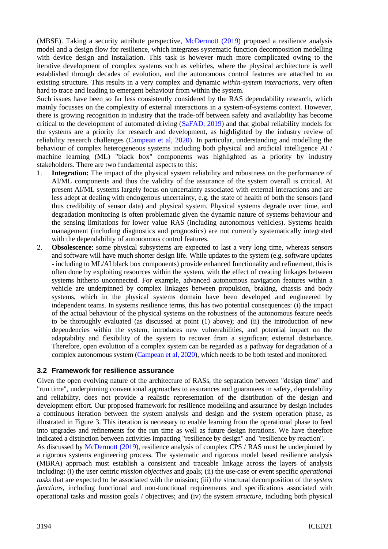(MBSE). Taking a security attribute perspective, [McDermott \(2019\)](#page-9-10) proposed a resilience analysis model and a design flow for resilience, which integrates systematic function decomposition modelling with device design and installation. This task is however much more complicated owing to the iterative development of complex systems such as vehicles, where the physical architecture is well established through decades of evolution, and the autonomous control features are attached to an existing structure. This results in a very complex and dynamic *within-system interactions*, very often hard to trace and leading to emergent behaviour from within the system.

Such issues have been so far less consistently considered by the RAS dependability research, which mainly focusses on the complexity of external interactions in a system-of-systems context. However, there is growing recognition in industry that the trade-off between safety and availability has become critical to the development of automated driving [\(SaFAD, 2019\)](#page-9-25) and that global reliability models for the systems are a priority for research and development, as highlighted by the industry review of reliability research challenges [\(Campean et al, 2020\)](#page-8-7). In particular, understanding and modelling the behaviour of complex heterogeneous systems including both physical and artificial intelligence AI / machine learning (ML) "black box" components was highlighted as a priority by industry stakeholders. There are two fundamental aspects to this:

- 1. **Integration:** The impact of the physical system reliability and robustness on the performance of AI/ML components and thus the validity of the assurance of the system overall is critical. At present AI/ML systems largely focus on uncertainty associated with external interactions and are less adept at dealing with endogenous uncertainty, e.g. the state of health of both the sensors (and thus credibility of sensor data) and physical system. Physical systems degrade over time, and degradation monitoring is often problematic given the dynamic nature of systems behaviour and the sensing limitations for lower value RAS (including autonomous vehicles). Systems health management (including diagnostics and prognostics) are not currently systematically integrated with the dependability of autonomous control features.
- 2. **Obsolescence**: some physical subsystems are expected to last a very long time, whereas sensors and software will have much shorter design life. While updates to the system (e.g. software updates - including to ML/AI black box components) provide enhanced functionality and refinement, this is often done by exploiting resources within the system, with the effect of creating linkages between systems hitherto unconnected. For example, advanced autonomous navigation features within a vehicle are underpinned by complex linkages between propulsion, braking, chassis and body systems, which in the physical systems domain have been developed and engineered by independent teams. In systems resilience terms, this has two potential consequences: (i) the impact of the actual behaviour of the physical systems on the robustness of the autonomous feature needs to be thoroughly evaluated (as discussed at point (1) above); and (ii) the introduction of new dependencies within the system, introduces new vulnerabilities, and potential impact on the adaptability and flexibility of the system to recover from a significant external disturbance. Therefore, open evolution of a complex system can be regarded as a pathway for degradation of a complex autonomous system [\(Campean et al, 2020\)](#page-8-7), which needs to be both tested and monitored.

### **3.2 Framework for resilience assurance**

Given the open evolving nature of the architecture of RASs, the separation between "design time" and "run time", underpinning conventional approaches to assurances and guarantees in safety, dependability and reliability, does not provide a realistic representation of the distribution of the design and development effort. Our proposed framework for resilience modelling and assurance by design includes a continuous iteration between the system analysis and design and the system operation phase, as illustrated in Figure 3. This iteration is necessary to enable learning from the operational phase to feed into upgrades and refinements for the run time as well as future design iterations. We have therefore indicated a distinction between activities impacting "resilience by design" and "resilience by reaction". As discussed by [McDermott \(2019\),](#page-9-10) resilience analysis of complex CPS / RAS must be underpinned by a rigorous systems engineering process. The systematic and rigorous model based resilience analysis (MBRA) approach must establish a consistent and traceable linkage across the layers of analysis including: (i) the user centric *mission objectives* and goals; (ii) the use-case or event specific *operational tasks* that are expected to be associated with the mission; (iii) the structural decomposition of the s*ystem functions*, including functional and non-functional requirements and specifications associated with

operational tasks and mission goals / objectives; and (iv) the system *structure*, including both physical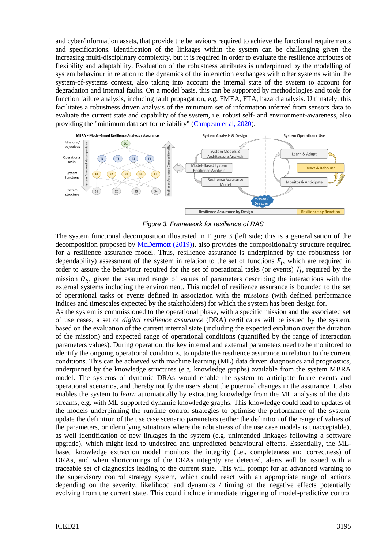and cyber/information assets, that provide the behaviours required to achieve the functional requirements and specifications. Identification of the linkages within the system can be challenging given the increasing multi-disciplinary complexity, but it is required in order to evaluate the resilience attributes of flexibility and adaptability. Evaluation of the robustness attributes is underpinned by the modelling of system behaviour in relation to the dynamics of the interaction exchanges with other systems within the system-of-systems context, also taking into account the internal state of the system to account for degradation and internal faults. On a model basis, this can be supported by methodologies and tools for function failure analysis, including fault propagation, e.g. FMEA, FTA, hazard analysis. Ultimately, this facilitates a robustness driven analysis of the minimum set of information inferred from sensors data to evaluate the current state and capability of the system, i.e. robust self- and environment-awareness, also providing the "minimum data set for reliability" [\(Campean et al, 2020\)](#page-8-7).



*Figure 3. Framework for resilience of RAS*

The system functional decomposition illustrated in Figure 3 (left side; this is a generalisation of the decomposition proposed by [McDermott](#page-9-10) (2019)), also provides the compositionality structure required for a resilience assurance model. Thus, resilience assurance is underpinned by the robustness (or dependability) assessment of the system in relation to the set of functions  $F_i$ , which are required in order to assure the behaviour required for the set of operational tasks (or events)  $T_j$ , required by the mission  $O_k$ , given the assumed range of values of parameters describing the interactions with the external systems including the environment. This model of resilience assurance is bounded to the set of operational tasks or events defined in association with the missions (with defined performance indices and timescales expected by the stakeholders) for which the system has been design for.

As the system is commissioned to the operational phase, with a specific mission and the associated set of use cases, a set of *digital resilience assurance* (DRA) certificates will be issued by the system, based on the evaluation of the current internal state (including the expected evolution over the duration of the mission) and expected range of operational conditions (quantified by the range of interaction parameters values). During operation, the key internal and external parameters need to be monitored to identify the ongoing operational conditions, to update the resilience assurance in relation to the current conditions. This can be achieved with machine learning (ML) data driven diagnostics and prognostics, underpinned by the knowledge structures (e.g. knowledge graphs) available from the system MBRA model. The systems of dynamic DRAs would enable the system to anticipate future events and operational scenarios, and thereby notify the users about the potential changes in the assurance. It also enables the system to *learn* automatically by extracting knowledge from the ML analysis of the data streams, e.g. with ML supported dynamic knowledge graphs. This knowledge could lead to updates of the models underpinning the runtime control strategies to optimise the performance of the system, update the definition of the use case scenario parameters (either the definition of the range of values of the parameters, or identifying situations where the robustness of the use case models is unacceptable), as well identification of new linkages in the system (e.g. unintended linkages following a software upgrade), which might lead to undesired and unpredicted behavioural effects. Essentially, the MLbased knowledge extraction model monitors the integrity (i.e., completeness and correctness) of DRAs, and when shortcomings of the DRAs integrity are detected, alerts will be issued with a traceable set of diagnostics leading to the current state. This will prompt for an advanced warning to the supervisory control strategy system, which could react with an appropriate range of actions depending on the severity, likelihood and dynamics / timing of the negative effects potentially evolving from the current state. This could include immediate triggering of model-predictive control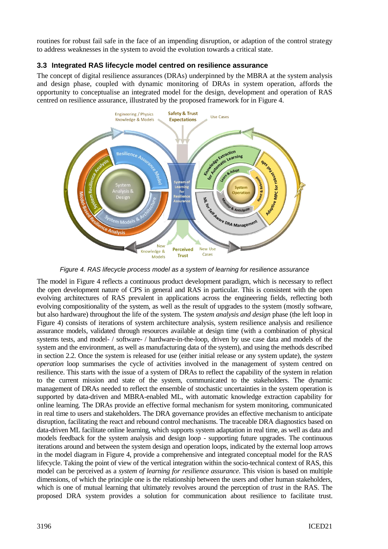routines for robust fail safe in the face of an impending disruption, or adaption of the control strategy to address weaknesses in the system to avoid the evolution towards a critical state.

### **3.3 Integrated RAS lifecycle model centred on resilience assurance**

The concept of digital resilience assurances (DRAs) underpinned by the MBRA at the system analysis and design phase, coupled with dynamic monitoring of DRAs in system operation, affords the opportunity to conceptualise an integrated model for the design, development and operation of RAS centred on resilience assurance, illustrated by the proposed framework for in Figure 4.



*Figure 4. RAS lifecycle process model as a system of learning for resilience assurance*

The model in Figure 4 reflects a continuous product development paradigm, which is necessary to reflect the open development nature of CPS in general and RAS in particular. This is consistent with the open evolving architectures of RAS prevalent in applications across the engineering fields, reflecting both evolving compositionality of the system, as well as the result of upgrades to the system (mostly software, but also hardware) throughout the life of the system. The *system analysis and design* phase (the left loop in Figure 4) consists of iterations of system architecture analysis, system resilience analysis and resilience assurance models, validated through resources available at design time (with a combination of physical systems tests, and model- / software- / hardware-in-the-loop, driven by use case data and models of the system and the environment, as well as manufacturing data of the system), and using the methods described in section 2.2. Once the system is released for use (either initial release or any system update), the *system operation* loop summarises the cycle of activities involved in the management of system centred on resilience. This starts with the issue of a system of DRAs to reflect the capability of the system in relation to the current mission and state of the system, communicated to the stakeholders. The dynamic management of DRAs needed to reflect the ensemble of stochastic uncertainties in the system operation is supported by data-driven and MBRA-enabled ML, with automatic knowledge extraction capability for online learning. The DRAs provide an effective formal mechanism for system monitoring, communicated in real time to users and stakeholders. The DRA governance provides an effective mechanism to anticipate disruption, facilitating the react and rebound control mechanisms. The traceable DRA diagnostics based on data-driven ML facilitate online learning, which supports system adaptation in real time, as well as data and models feedback for the system analysis and design loop - supporting future upgrades. The continuous iterations around and between the system design and operation loops, indicated by the external loop arrows in the model diagram in Figure 4, provide a comprehensive and integrated conceptual model for the RAS lifecycle. Taking the point of view of the vertical integration within the socio-technical context of RAS, this model can be perceived as a *system of learning for resilience assurance*. This vision is based on multiple dimensions, of which the principle one is the relationship between the users and other human stakeholders, which is one of mutual learning that ultimately revolves around the perception of *trust* in the RAS. The proposed DRA system provides a solution for communication about resilience to facilitate trust.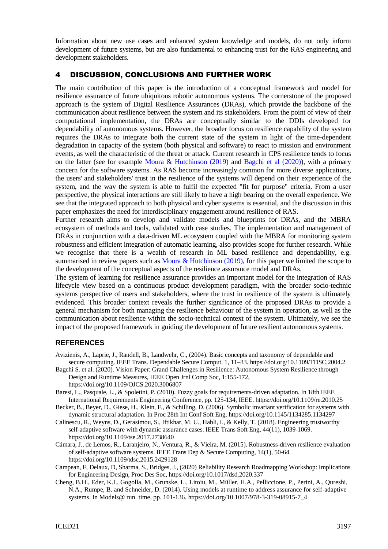Information about new use cases and enhanced system knowledge and models, do not only inform development of future systems, but are also fundamental to enhancing trust for the RAS engineering and development stakeholders.

### 4 DISCUSSION, CONCLUSIONS AND FURTHER WORK

The main contribution of this paper is the introduction of a conceptual framework and model for resilience assurance of future ubiquitous robotic autonomous systems. The cornerstone of the proposed approach is the system of Digital Resilience Assurances (DRAs), which provide the backbone of the communication about resilience between the system and its stakeholders. From the point of view of their computational implementation, the DRAs are conceptually similar to the DDIs developed for dependability of autonomous systems. However, the broader focus on resilience capability of the system requires the DRAs to integrate both the current state of the system in light of the time-dependent degradation in capacity of the system (both physical and software) to react to mission and environment events, as well the characteristic of the threat or attack. Current research in CPS resilience tends to focus on the latter (see for example [Moura & Hutchinson \(2019\)](#page-9-26) and [Bagchi et al \(2020\)\)](#page-8-1), with a primary concern for the software systems. As RAS become increasingly common for more diverse applications, the users' and stakeholders' trust in the resilience of the systems will depend on their experience of the system, and the way the system is able to fulfil the expected "fit for purpose" criteria. From a user perspective, the physical interactions are still likely to have a high bearing on the overall experience. We see that the integrated approach to both physical and cyber systems is essential, and the discussion in this paper emphasizes the need for interdisciplinary engagement around resilience of RAS.

Further research aims to develop and validate models and blueprints for DRAs, and the MBRA ecosystem of methods and tools, validated with case studies. The implementation and management of DRAs in conjunction with a data-driven ML ecosystem coupled with the MBRA for monitoring system robustness and efficient integration of automatic learning, also provides scope for further research. While we recognise that there is a wealth of research in ML based resilience and dependability, e.g. summarised in review papers such as [Moura & Hutchinson](#page-9-26) (2019), for this paper we limited the scope to the development of the conceptual aspects of the resilience assurance model and DRAs.

The system of learning for resilience assurance provides an important model for the integration of RAS lifecycle view based on a continuous product development paradigm, with the broader socio-technic systems perspective of users and stakeholders, where the trust in resilience of the system is ultimately evidenced. This broader context reveals the further significance of the proposed DRAs to provide a general mechanism for both managing the resilience behaviour of the system in operation, as well as the communication about resilience within the socio-technical context of the system. Ultimately, we see the impact of the proposed framework in guiding the development of future resilient autonomous systems.

#### **REFERENCES**

- <span id="page-8-0"></span>Avizienis, A., Laprie, J., Randell, B., Landwehr, C., (2004). Basic concepts and taxonomy of dependable and secure computing. IEEE Trans. Dependable Secure Comput. 1, 11–33[. https://doi.org/10.1109/TDSC.2004.2](https://doi.org/10.1109/TDSC.2004.2)
- <span id="page-8-1"></span>Bagchi S. et al. (2020). Vision Paper: Grand Challenges in Resilience: Autonomous System Resilience through Design and Runtime Measures, IEEE Open Jrnl Comp Soc, 1:155-172, <https://doi.org/10.1109/OJCS.2020.3006807>
- <span id="page-8-4"></span>Baresi, L., Pasquale, L., & Spoletini, P. (2010). Fuzzy goals for requirements-driven adaptation. In 18th IEEE International Requirements Engineering Conference, pp. 125-134, IEEE[. https://doi.org/10.1109/re.2010.25](https://doi.org/10.1109/re.2010.25)
- <span id="page-8-6"></span>Becker, B., Beyer, D., Giese, H., Klein, F., & Schilling, D. (2006). Symbolic invariant verification for systems with dynamic structural adaptation. In Proc 28th Int Conf Soft Eng,<https://doi.org/10.1145/1134285.1134297>
- <span id="page-8-2"></span>Calinescu, R., Weyns, D., Gerasimou, S., Iftikhar, M. U., Habli, I., & Kelly, T. (2018). Engineering trustworthy self-adaptive software with dynamic assurance cases. IEEE Trans Soft Eng, 44(11), 1039-1069. <https://doi.org/10.1109/tse.2017.2738640>
- <span id="page-8-5"></span>Cámara, J., de Lemos, R., Laranjeiro, N., Ventura, R., & Vieira, M. (2015). Robustness-driven resilience evaluation of self-adaptive software systems. IEEE Trans Dep & Secure Computing, 14(1), 50-64. [https://doi.org/10.1109/tdsc.2015.2429128](https://doi.org/10.1109/TDSC.2015.2429128)
- <span id="page-8-7"></span>Campean, F, Delaux, D, Sharma, S., Bridges, J., (2020) Reliability Research Roadmapping Workshop: Implications for Engineering Design, Proc Des Soc,<https://doi.org/10.1017/dsd.2020.337>
- <span id="page-8-3"></span>Cheng, B.H., Eder, K.I., Gogolla, M., Grunske, L., Litoiu, M., Müller, H.A., Pelliccione, P., Perini, A., Qureshi, N.A., Rumpe, B. and Schneider, D. (2014). Using models at runtime to address assurance for self-adaptive systems. In Models@ run. time, pp. 101-136[. https://doi.org/10.1007/978-3-319-08915-7\\_4](https://doi.org/10.1007/978-3-319-08915-7_4)